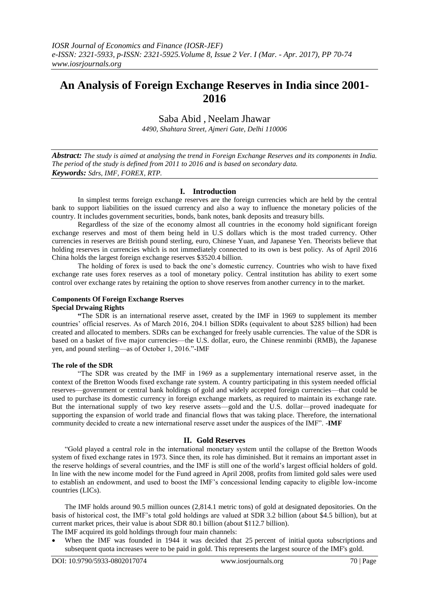# **An Analysis of Foreign Exchange Reserves in India since 2001- 2016**

Saba Abid , Neelam Jhawar

*4490, Shahtara Street, Ajmeri Gate, Delhi 110006*

*Abstract: The study is aimed at analysing the trend in Foreign Exchange Reserves and its components in India. The period of the study is defined from 2011 to 2016 and is based on secondary data. Keywords: Sdrs, IMF, FOREX, RTP.*

# **I. Introduction**

In simplest terms foreign exchange reserves are the foreign currencies which are held by the central bank to support liabilities on the issued currency and also a way to influence the monetary policies of the country. It includes government securities, bonds, bank notes, bank deposits and treasury bills.

Regardless of the size of the economy almost all countries in the economy hold significant foreign exchange reserves and most of them being held in U.S dollars which is the most traded currency. Other currencies in reserves are British pound sterling, euro, Chinese Yuan, and Japanese Yen. Theorists believe that holding reserves in currencies which is not immediately connected to its own is best policy. As of April 2016 China holds the largest foreign exchange reserves \$3520.4 billion.

The holding of forex is used to back the one's domestic currency. Countries who wish to have fixed exchange rate uses forex reserves as a tool of monetary policy. Central institution has ability to exert some control over exchange rates by retaining the option to shove reserves from another currency in to the market.

# **Components Of Foreign Exchange Rserves**

# **Special Drwaing Rights**

**"**The SDR is an international reserve asset, created by the IMF in 1969 to supplement its member countries' official reserves. As of March 2016, 204.1 billion SDRs (equivalent to about \$285 billion) had been created and allocated to members. SDRs can be exchanged for freely usable currencies. The value of the SDR is based on a basket of five major currencies—the U.S. dollar, euro, the Chinese renminbi (RMB), the Japanese yen, and pound sterling—as of October 1, 2016."-IMF

## **The role of the SDR**

―The SDR was created by the IMF in 1969 as a supplementary international reserve asset, in the context of the Bretton Woods fixed exchange rate system. A country participating in this system needed official reserves—government or central bank holdings of gold and widely accepted foreign currencies—that could be used to purchase its domestic currency in foreign exchange markets, as required to maintain its exchange rate. But the international supply of two key reserve assets—gold and the U.S. dollar—proved inadequate for supporting the expansion of world trade and financial flows that was taking place. Therefore, the international community decided to create a new international reserve asset under the auspices of the IMF". -**IMF** 

## **II. Gold Reserves**

―Gold played a central role in the international monetary system until the collapse of the Bretton Woods system of fixed exchange rates in 1973. Since then, its role has diminished. But it remains an important asset in the reserve holdings of several countries, and the IMF is still one of the world's largest official holders of gold. In line with the new income model for the Fund agreed in April 2008, profits from limited gold sales were used to establish an endowment, and used to boost the IMF's concessional lending capacity to eligible low-income countries (LICs).

The IMF holds around 90.5 million ounces (2,814.1 metric tons) of gold at designated depositories. On the basis of historical cost, the IMF's total gold holdings are valued at SDR 3.2 billion (about \$4.5 billion), but at current market prices, their value is about SDR 80.1 billion (about \$112.7 billion).

The IMF acquired its gold holdings through four main channels:

When the IMF was founded in 1944 it was decided that 25 percent of initial quota subscriptions and subsequent quota increases were to be paid in gold. This represents the largest source of the IMF's gold.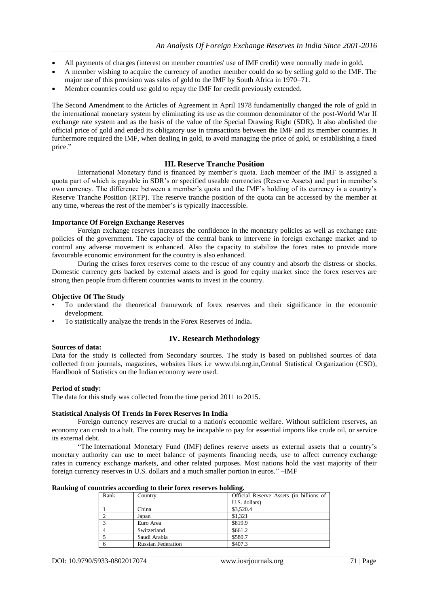- All payments of charges (interest on member countries' use of IMF credit) were normally made in gold.
- A member wishing to acquire the currency of another member could do so by selling gold to the IMF. The major use of this provision was sales of gold to the IMF by South Africa in 1970–71.
- Member countries could use gold to repay the IMF for credit previously extended.

The Second Amendment to the Articles of Agreement in April 1978 fundamentally changed the role of gold in the international monetary system by eliminating its use as the common denominator of the post-World War II exchange rate system and as the basis of the value of the Special Drawing Right (SDR). It also abolished the official price of gold and ended its obligatory use in transactions between the IMF and its member countries. It furthermore required the IMF, when dealing in gold, to avoid managing the price of gold, or establishing a fixed price."

## **III. Reserve Tranche Position**

International Monetary fund is financed by member's quota. Each member of the IMF is assigned a quota part of which is payable in SDR's or specified useable currencies (Reserve Assets) and part in member's own currency. The difference between a member's quota and the IMF's holding of its currency is a country's Reserve Tranche Position (RTP). The reserve tranche position of the quota can be accessed by the member at any time, whereas the rest of the member's is typically inaccessible.

## **Importance Of Foreign Exchange Reserves**

Foreign exchange reserves increases the confidence in the monetary policies as well as exchange rate policies of the government. The capacity of the central bank to intervene in foreign exchange market and to control any adverse movement is enhanced. Also the capacity to stabilize the forex rates to provide more favourable economic environment for the country is also enhanced.

During the crises forex reserves come to the rescue of any country and absorb the distress or shocks. Domestic currency gets backed by external assets and is good for equity market since the forex reserves are strong then people from different countries wants to invest in the country.

## **Objective Of The Study**

- To understand the theoretical framework of forex reserves and their significance in the economic development.
- To statistically analyze the trends in the Forex Reserves of India**.**

# **IV. Research Methodology**

## **Sources of data:**

Data for the study is collected from Secondary sources. The study is based on published sources of data collected from journals, magazines, websites likes i.e www.rbi.org.in,Central Statistical Organization (CSO), Handbook of Statistics on the Indian economy were used.

## **Period of study:**

The data for this study was collected from the time period 2011 to 2015.

## **Statistical Analysis Of Trends In Forex Reserves In India**

Foreign currency reserves are crucial to a nation's economic welfare. Without sufficient reserves, an economy can crush to a halt. The country may be incapable to pay for essential imports like crude oil, or service its external debt.

―The International Monetary Fund (IMF) defines reserve assets as external assets that a country's monetary authority can use to meet balance of payments financing needs, use to affect currency exchange rates in currency exchange markets, and other related purposes. Most nations hold the vast majority of their foreign currency reserves in U.S. dollars and a much smaller portion in euros." -IMF

| Ranking of countries according to their forex reserves holding. |
|-----------------------------------------------------------------|
|-----------------------------------------------------------------|

| Rank | $\overline{\phantom{a}}$<br>Country | Official Reserve Assets (in billions of |
|------|-------------------------------------|-----------------------------------------|
|      |                                     | U.S. dollars)                           |
|      | China                               | \$3,520.4                               |
|      | Japan                               | \$1.321                                 |
|      | Euro Area                           | \$819.9                                 |
|      | Switzerland                         | \$661.2                                 |
|      | Saudi Arabia                        | \$580.7                                 |
|      | <b>Russian Federation</b>           | \$407.3                                 |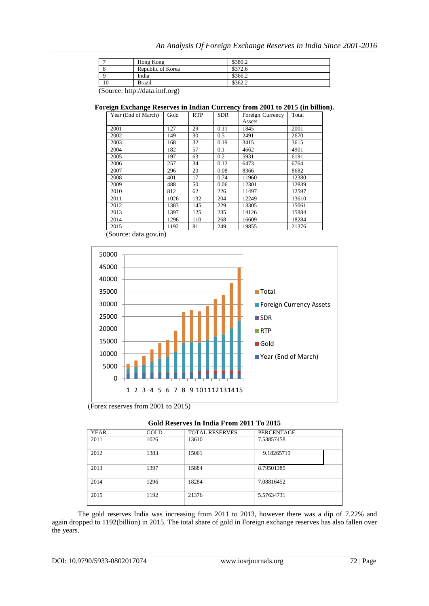|    | Hong Kong         | \$380.2              |
|----|-------------------|----------------------|
|    | Republic of Korea | \$372.6              |
|    | India             | \$366.2              |
| 10 | <b>Brazil</b>     | \$362.2<br>ے کا کا ک |

(Source: http://data.imf.org)

# **Foreign Exchange Reserves in Indian Currency from 2001 to 2015 (in billion).**

| Year (End of March) | Gold | <b>RTP</b> | <b>SDR</b> | Foreign Currency | Total |
|---------------------|------|------------|------------|------------------|-------|
|                     |      |            |            | Assets           |       |
| 2001                | 127  | 29         | 0.11       | 1845             | 2001  |
| 2002                | 149  | 30         | 0.5        | 2491             | 2670  |
| 2003                | 168  | 32         | 0.19       | 3415             | 3615  |
| 2004                | 182  | 57         | 0.1        | 4662             | 4901  |
| 2005                | 197  | 63         | 0.2        | 5931             | 6191  |
| 2006                | 257  | 34         | 0.12       | 6473             | 6764  |
| 2007                | 296  | 20         | 0.08       | 8366             | 8682  |
| 2008                | 401  | 17         | 0.74       | 11960            | 12380 |
| 2009                | 488  | 50         | 0.06       | 12301            | 12839 |
| 2010                | 812  | 62         | 226        | 11497            | 12597 |
| 2011                | 1026 | 132        | 204        | 12249            | 13610 |
| 2012                | 1383 | 145        | 229        | 13305            | 15061 |
| 2013                | 1397 | 125        | 235        | 14126            | 15884 |
| 2014                | 1296 | 110        | 268        | 16609            | 18284 |
| 2015                | 1192 | 81         | 249        | 19855            | 21376 |

(Source: data.gov.in)



(Forex reserves from 2001 to 2015)

| Gold Reserves In India From 2011 To 2015 |  |
|------------------------------------------|--|
|                                          |  |

| <b>YEAR</b> | <b>GOLD</b> | <b>TOTAL RESERVES</b> | <b>PERCENTAGE</b> |
|-------------|-------------|-----------------------|-------------------|
| 2011        | 1026        | 13610                 | 7.53857458        |
| 2012        | 1383        | 15061                 | 9.18265719        |
| 2013        | 1397        | 15884                 | 8.79501385        |
| 2014        | 1296        | 18284                 | 7.08816452        |
| 2015        | 1192        | 21376                 | 5.57634731        |

The gold reserves India was increasing from 2011 to 2013, however there was a dip of 7.22% and again dropped to 1192(billion) in 2015. The total share of gold in Foreign exchange reserves has also fallen over the years.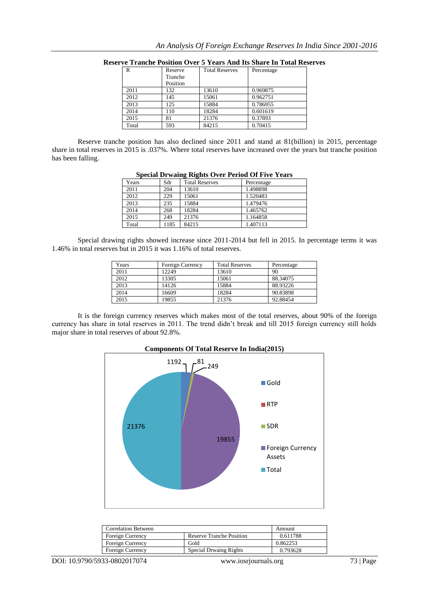| R     | Reserve  | <b>Total Reserves</b> | Percentage |
|-------|----------|-----------------------|------------|
|       | Tranche  |                       |            |
|       | Position |                       |            |
| 2011  | 132      | 13610                 | 0.969875   |
| 2012  | 145      | 15061                 | 0.962751   |
| 2013  | 125      | 15884                 | 0.786955   |
| 2014  | 110      | 18284                 | 0.601619   |
| 2015  | 81       | 21376                 | 0.37893    |
| Total | 593      | 84215                 | 0.70415    |

**Reserve Tranche Position Over 5 Years And Its Share In Total Reserves**

Reserve tranche position has also declined since 2011 and stand at 81(billion) in 2015, percentage share in total reserves in 2015 is .037%. Where total reserves have increased over the years but tranche position has been falling.

| Years | Sdr  | <b>Total Reserves</b> | Percentage |
|-------|------|-----------------------|------------|
| 2011  | 204  | 13610                 | 1.498898   |
| 2012  | 229  | 15061                 | 1.520483   |
| 2013  | 235  | 15884                 | 1.479476   |
| 2014  | 268  | 18284                 | 1.465762   |
| 2015  | 249  | 21376                 | 1.164858   |
| Total | 1185 | 84215                 | 1.407113   |

| <b>Special Drwaing Rights Over Period Of Five Years</b> |  |  |
|---------------------------------------------------------|--|--|

Special drawing rights showed increase since 2011-2014 but fell in 2015. In percentage terms it was 1.46% in total reserves but in 2015 it was 1.16% of total reserves.

| Years | Foreign Currency | <b>Total Reserves</b> | Percentage |
|-------|------------------|-----------------------|------------|
| 2011  | 12249            | 13610                 | 90         |
| 2012  | 13305            | 15061                 | 88.34075   |
| 2013  | 14126            | 15884                 | 88.93226   |
| 2014  | 16609            | 18284                 | 90.83898   |
| 2015  | 19855            | 21376                 | 92.88454   |

It is the foreign currency reserves which makes most of the total reserves, about 90% of the foreign currency has share in total reserves in 2011. The trend didn't break and till 2015 foreign currency still holds major share in total reserves of about 92.8%.



| <b>Correlation Between</b> |                                 | Amount   |
|----------------------------|---------------------------------|----------|
| Foreign Currency           | <b>Reserve Tranche Position</b> | 0.611788 |
| Foreign Currency           | Gold                            | 0.862253 |
| Foreign Currency           | <b>Special Drwaing Rights</b>   | 0.793628 |
|                            |                                 |          |